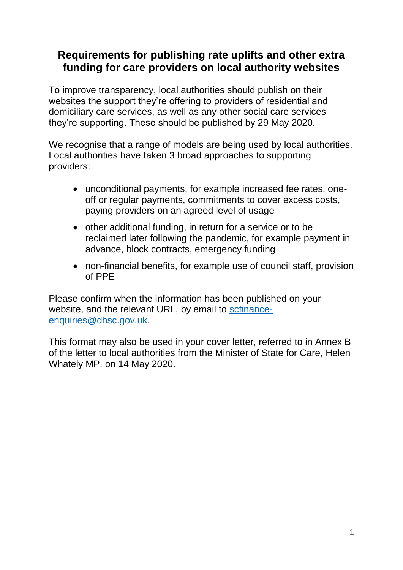## **Requirements for publishing rate uplifts and other extra funding for care providers on local authority websites**

To improve transparency, local authorities should publish on their websites the support they're offering to providers of residential and domiciliary care services, as well as any other social care services they're supporting. These should be published by 29 May 2020.

We recognise that a range of models are being used by local authorities. Local authorities have taken 3 broad approaches to supporting providers:

- unconditional payments, for example increased fee rates, oneoff or regular payments, commitments to cover excess costs, paying providers on an agreed level of usage
- other additional funding, in return for a service or to be reclaimed later following the pandemic, for example payment in advance, block contracts, emergency funding
- non-financial benefits, for example use of council staff, provision of PPE

Please confirm when the information has been published on your website, and the relevant URL, by email to [scfinance](mailto:scfinance-enquiries@dhsc.gov.uk)[enquiries@dhsc.gov.uk.](mailto:scfinance-enquiries@dhsc.gov.uk)

This format may also be used in your cover letter, referred to in Annex B of the letter to local authorities from the Minister of State for Care, Helen Whately MP, on 14 May 2020.